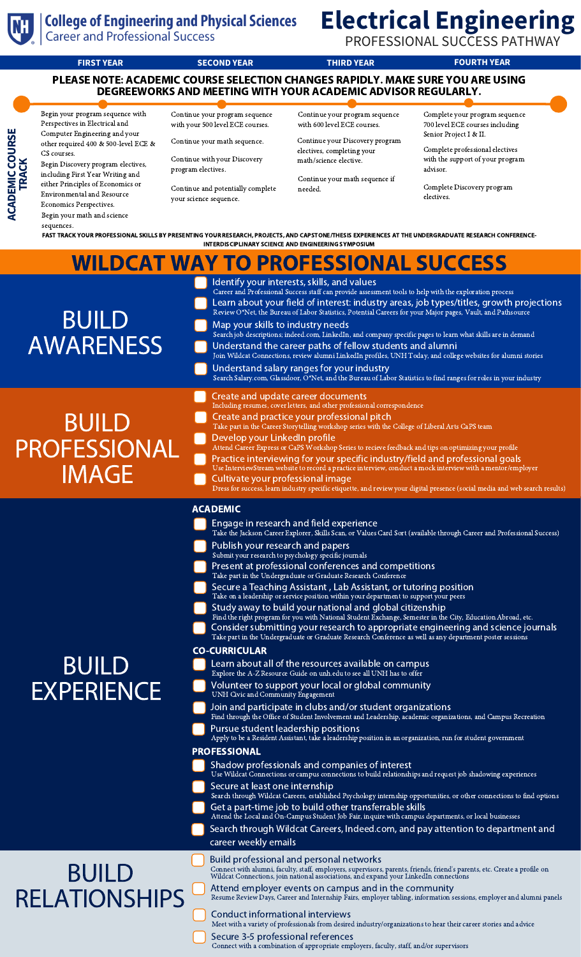

**ACA DEMIC**

**TRAC K**

**COURSE**

### **College of Engineering and Physical Sciences**

**Career and Professional Success** 

# **Electrical Engineering**

PROFESSIONAL SUCCESS PATHWAY

**FIRST YEAR SECOND YEAR THIRD YEAR FOURTH YEAR** PLEASE NOTE: ACADEMIC COURSE SELECTION CHANGES RAPIDLY. MAKE SURE YOU ARE USING DEGREEWORKS AND MEETING WITH YOUR ACADEMIC ADVISOR REGULARLY.

Begin your program sequence with Perspectives in Electrical and Computer Engineering and your other required 400 & 500-level ECE & CS courses. Begin Discovery program electives,

including First Year Writing and either Principles of Economics or Environmental and Resource Economics Perspectives.

Begin your math and science sequences.

Continue your program sequence with your 500 level ECE courses.

Continue your math sequence.

Continue with your Discovery program electives.

Continue and potentially complete your science sequence.

Continue your program sequence with 600 level ECE courses.

Continue your Discovery program electives, completing your math/science elective.

Continue your math sequence if needed.

Complete your program sequence 700 level ECE courses including Senior Project I & II.

Complete professional electives with the support of your program advisor.

Complete Discovery program electives.

FAST TRACK YOUR PROFESSIONAL SKILLS BY PRESENTING YOUR RESEARCH, PROJECTS, AND CAPSTONE/THESIS EXPERIENCES AT THE UNDERGRADUATE RESEARCH CONFERENCE-INTERDISCIPLINARY SCIENCE AND ENGINEERING SYMPOSIUM

|                                                     | <b>WILDCAT WAY TO PROFESSIONAL SUCCESS</b>                                                                                                                                                                                                                                                                                                                                                                                                                                                                                                                                                                                                                                                                                                                                                                                                                                                                                                                                                                                                                                                                                                                                                                                                                                                                                                                                                                                                                                                                                                                                                                                                                                                                                                                                                                                                                                                                                                                                                                                                                                                                                                                                     |
|-----------------------------------------------------|--------------------------------------------------------------------------------------------------------------------------------------------------------------------------------------------------------------------------------------------------------------------------------------------------------------------------------------------------------------------------------------------------------------------------------------------------------------------------------------------------------------------------------------------------------------------------------------------------------------------------------------------------------------------------------------------------------------------------------------------------------------------------------------------------------------------------------------------------------------------------------------------------------------------------------------------------------------------------------------------------------------------------------------------------------------------------------------------------------------------------------------------------------------------------------------------------------------------------------------------------------------------------------------------------------------------------------------------------------------------------------------------------------------------------------------------------------------------------------------------------------------------------------------------------------------------------------------------------------------------------------------------------------------------------------------------------------------------------------------------------------------------------------------------------------------------------------------------------------------------------------------------------------------------------------------------------------------------------------------------------------------------------------------------------------------------------------------------------------------------------------------------------------------------------------|
| <b>BUILD</b><br><b>AWARENESS</b>                    | Identify your interests, skills, and values<br>Career and Professional Success staff can provide assessment tools to help with the exploration process<br>Learn about your field of interest: industry areas, job types/titles, growth projections<br>Review O*Net, the Bureau of Labor Statistics, Potential Careers for your Major pages, Vault, and Pathsource<br>Map your skills to industry needs<br>Search job descriptions; indeed.com, LinkedIn, and company specific pages to learn what skills are in demand<br>Understand the career paths of fellow students and alumni<br>Join Wildcat Connections, review alumni LinkedIn profiles, UNH Today, and college websites for alumni stories<br>Understand salary ranges for your industry<br>Search Salary.com, Glassdoor, O*Net, and the Bureau of Labor Statistics to find ranges for roles in your industry                                                                                                                                                                                                                                                                                                                                                                                                                                                                                                                                                                                                                                                                                                                                                                                                                                                                                                                                                                                                                                                                                                                                                                                                                                                                                                        |
| <b>BUILD</b><br><b>PROFESSIONAL</b><br><b>IMAGE</b> | Create and update career documents<br>Including resumes, cover letters, and other professional correspondence<br>Create and practice your professional pitch<br>Take part in the Career Storytelling workshop series with the College of Liberal Arts CaPS team<br>Develop your LinkedIn profile<br>Attend Career Express or CaPS Workshop Series to recieve feedback and tips on optimizing your profile<br>Practice interviewing for your specific industry/field and professional goals<br>Use InterviewStream website to record a practice interview, conduct a mock interview with a mentor/employer<br>Cultivate your professional image<br>Dress for success, learn industry specific etiquette, and review your digital presence (social media and web search results)                                                                                                                                                                                                                                                                                                                                                                                                                                                                                                                                                                                                                                                                                                                                                                                                                                                                                                                                                                                                                                                                                                                                                                                                                                                                                                                                                                                                 |
| <b>BUILD</b><br><b>EXPERIENCE</b>                   | <b>ACADEMIC</b><br>Engage in research and field experience<br>Take the Jackson Career Explorer, Skills Scan, or Values Card Sort (available through Career and Professional Success)<br>Publish your research and papers<br>Submit your research to psychology specific journals<br>Present at professional conferences and competitions<br>Take part in the Undergraduate or Graduate Research Conference<br>Secure a Teaching Assistant, Lab Assistant, or tutoring position<br>Take on a leadership or service position within your department to support your peers<br>Study away to build your national and global citizenship<br>Find the right program for you with National Student Exchange, Semester in the City, Education Abroad, etc.<br>Consider submitting your research to appropriate engineering and science journals<br>Take part in the Undergraduate or Graduate Research Conference as well as any department poster sessions<br><b>CO-CURRICULAR</b><br>Learn about all of the resources available on campus<br>Explore the A-Z Resource Guide on unh.edu to see all UNH has to offer<br>Volunteer to support your local or global community<br>UNH Civic and Community Engagement<br>Join and participate in clubs and/or student organizations<br>Find through the Office of Student Involvement and Leadership, academic organizations, and Campus Recreation<br>Pursue student leadership positions<br>Apply to be a Resident Assistant, take a leadership position in an organization, run for student government<br><b>PROFESSIONAL</b><br>Shadow professionals and companies of interest<br>Use Wildcat Connections or campus connections to build relationships and request job shadowing experiences<br>Secure at least one internship<br>Search through Wildcat Careers, established Psychology internship opportunities, or other connections to find options<br>Get a part-time job to build other transferrable skills<br>Attend the Local and On-Campus Student Job Fair, inquire with campus departments, or local businesses<br>Search through Wildcat Careers, Indeed.com, and pay attention to department and<br>career weekly emails |
| <b>BUILD</b><br><b>RELATIONSHIPS</b>                | Build professional and personal networks<br>Connect with alumni, faculty, staff, employers, supervisors, parents, friends, friend's parents, etc. Create a profile on Wildcat Connections, join national associations, and expand your LinkedIn connections<br>Attend employer events on campus and in the community<br>Resume Review Days, Career and Internship Fairs, employer tabling, information sessions, employer and alumni panels<br>Conduct informational interviews<br>Meet with a variety of professionals from desired industry/organizations to hear their career stories and advice                                                                                                                                                                                                                                                                                                                                                                                                                                                                                                                                                                                                                                                                                                                                                                                                                                                                                                                                                                                                                                                                                                                                                                                                                                                                                                                                                                                                                                                                                                                                                                            |

Secure 3-5 professional references Connect with a combination of appropriate employers, faculty, staff, and/or supervisors